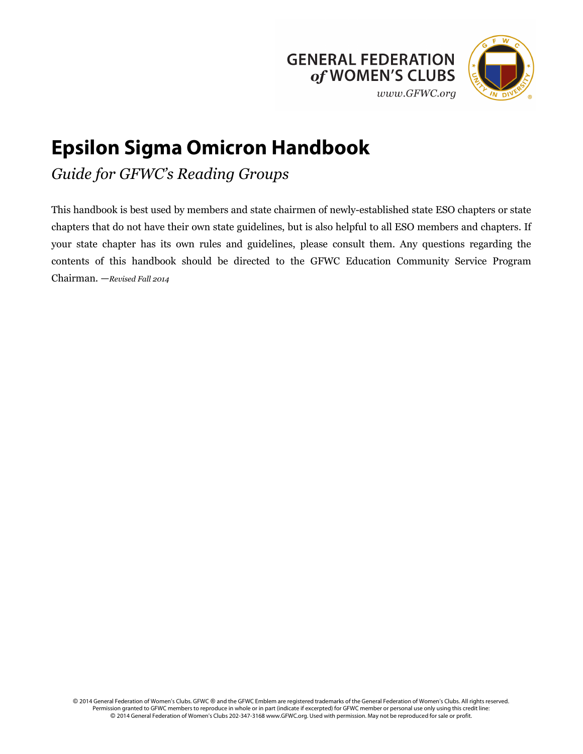



# **Epsilon Sigma Omicron Handbook**

*Guide for GFWC's Reading Groups*

This handbook is best used by members and state chairmen of newly-established state ESO chapters or state chapters that do not have their own state guidelines, but is also helpful to all ESO members and chapters. If your state chapter has its own rules and guidelines, please consult them. Any questions regarding the contents of this handbook should be directed to the GFWC Education Community Service Program Chairman. —*Revised Fall 2014*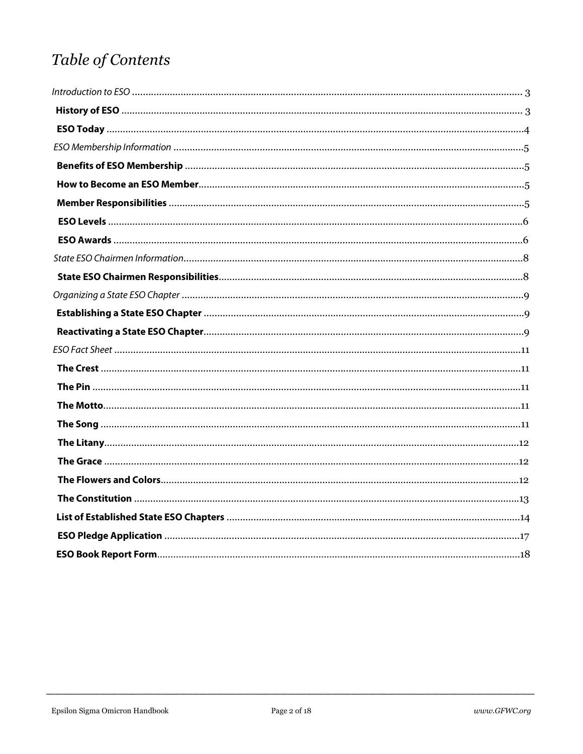# Table of Contents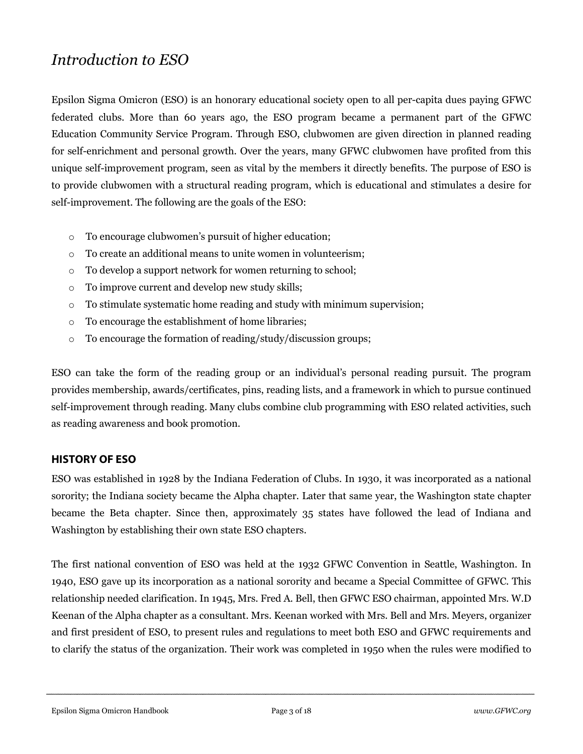# *Introduction to ESO*

Epsilon Sigma Omicron (ESO) is an honorary educational society open to all per-capita dues paying GFWC federated clubs. More than 60 years ago, the ESO program became a permanent part of the GFWC Education Community Service Program. Through ESO, clubwomen are given direction in planned reading for self-enrichment and personal growth. Over the years, many GFWC clubwomen have profited from this unique self-improvement program, seen as vital by the members it directly benefits. The purpose of ESO is to provide clubwomen with a structural reading program, which is educational and stimulates a desire for self-improvement. The following are the goals of the ESO:

- o To encourage clubwomen's pursuit of higher education;
- o To create an additional means to unite women in volunteerism;
- o To develop a support network for women returning to school;
- o To improve current and develop new study skills;
- o To stimulate systematic home reading and study with minimum supervision;
- o To encourage the establishment of home libraries;
- o To encourage the formation of reading/study/discussion groups;

ESO can take the form of the reading group or an individual's personal reading pursuit. The program provides membership, awards/certificates, pins, reading lists, and a framework in which to pursue continued self-improvement through reading. Many clubs combine club programming with ESO related activities, such as reading awareness and book promotion.

#### **HISTORY OF ESO**

ESO was established in 1928 by the Indiana Federation of Clubs. In 1930, it was incorporated as a national sorority; the Indiana society became the Alpha chapter. Later that same year, the Washington state chapter became the Beta chapter. Since then, approximately 35 states have followed the lead of Indiana and Washington by establishing their own state ESO chapters.

The first national convention of ESO was held at the 1932 GFWC Convention in Seattle, Washington. In 1940, ESO gave up its incorporation as a national sorority and became a Special Committee of GFWC. This relationship needed clarification. In 1945, Mrs. Fred A. Bell, then GFWC ESO chairman, appointed Mrs. W.D Keenan of the Alpha chapter as a consultant. Mrs. Keenan worked with Mrs. Bell and Mrs. Meyers, organizer and first president of ESO, to present rules and regulations to meet both ESO and GFWC requirements and to clarify the status of the organization. Their work was completed in 1950 when the rules were modified to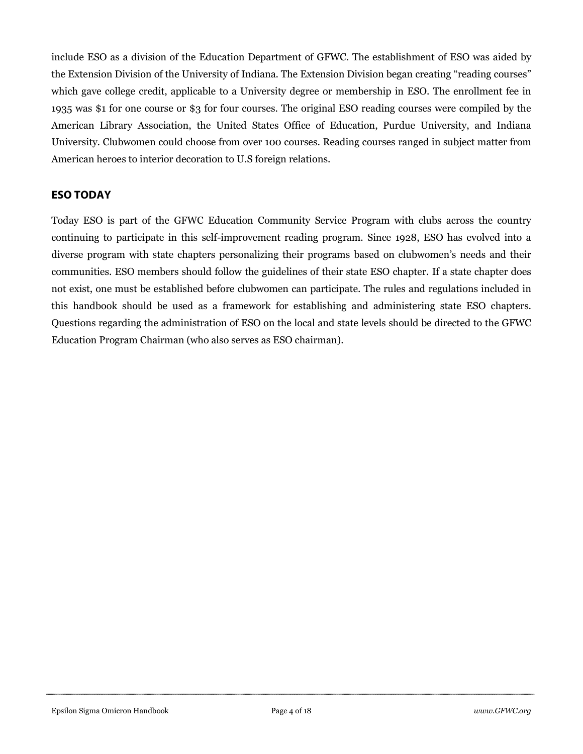include ESO as a division of the Education Department of GFWC. The establishment of ESO was aided by the Extension Division of the University of Indiana. The Extension Division began creating "reading courses" which gave college credit, applicable to a University degree or membership in ESO. The enrollment fee in 1935 was \$1 for one course or \$3 for four courses. The original ESO reading courses were compiled by the American Library Association, the United States Office of Education, Purdue University, and Indiana University. Clubwomen could choose from over 100 courses. Reading courses ranged in subject matter from American heroes to interior decoration to U.S foreign relations.

## **ESO TODAY**

Today ESO is part of the GFWC Education Community Service Program with clubs across the country continuing to participate in this self-improvement reading program. Since 1928, ESO has evolved into a diverse program with state chapters personalizing their programs based on clubwomen's needs and their communities. ESO members should follow the guidelines of their state ESO chapter. If a state chapter does not exist, one must be established before clubwomen can participate. The rules and regulations included in this handbook should be used as a framework for establishing and administering state ESO chapters. Questions regarding the administration of ESO on the local and state levels should be directed to the GFWC Education Program Chairman (who also serves as ESO chairman).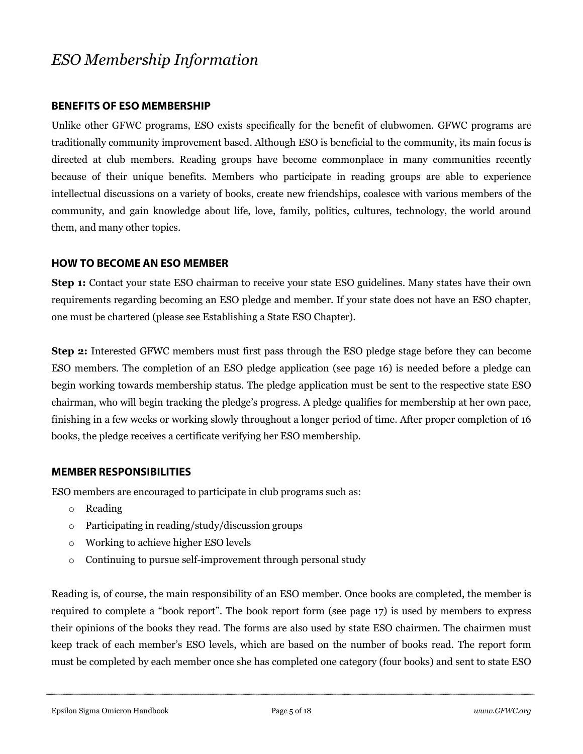# *ESO Membership Information*

#### **BENEFITS OF ESO MEMBERSHIP**

Unlike other GFWC programs, ESO exists specifically for the benefit of clubwomen. GFWC programs are traditionally community improvement based. Although ESO is beneficial to the community, its main focus is directed at club members. Reading groups have become commonplace in many communities recently because of their unique benefits. Members who participate in reading groups are able to experience intellectual discussions on a variety of books, create new friendships, coalesce with various members of the community, and gain knowledge about life, love, family, politics, cultures, technology, the world around them, and many other topics.

#### **HOW TO BECOME AN ESO MEMBER**

**Step 1:** Contact your state ESO chairman to receive your state ESO guidelines. Many states have their own requirements regarding becoming an ESO pledge and member. If your state does not have an ESO chapter, one must be chartered (please see Establishing a State ESO Chapter).

**Step 2:** Interested GFWC members must first pass through the ESO pledge stage before they can become ESO members. The completion of an ESO pledge application (see page 16) is needed before a pledge can begin working towards membership status. The pledge application must be sent to the respective state ESO chairman, who will begin tracking the pledge's progress. A pledge qualifies for membership at her own pace, finishing in a few weeks or working slowly throughout a longer period of time. After proper completion of 16 books, the pledge receives a certificate verifying her ESO membership.

#### **MEMBER RESPONSIBILITIES**

ESO members are encouraged to participate in club programs such as:

- o Reading
- o Participating in reading/study/discussion groups
- o Working to achieve higher ESO levels
- o Continuing to pursue self-improvement through personal study

Reading is, of course, the main responsibility of an ESO member. Once books are completed, the member is required to complete a "book report". The book report form (see page 17) is used by members to express their opinions of the books they read. The forms are also used by state ESO chairmen. The chairmen must keep track of each member's ESO levels, which are based on the number of books read. The report form must be completed by each member once she has completed one category (four books) and sent to state ESO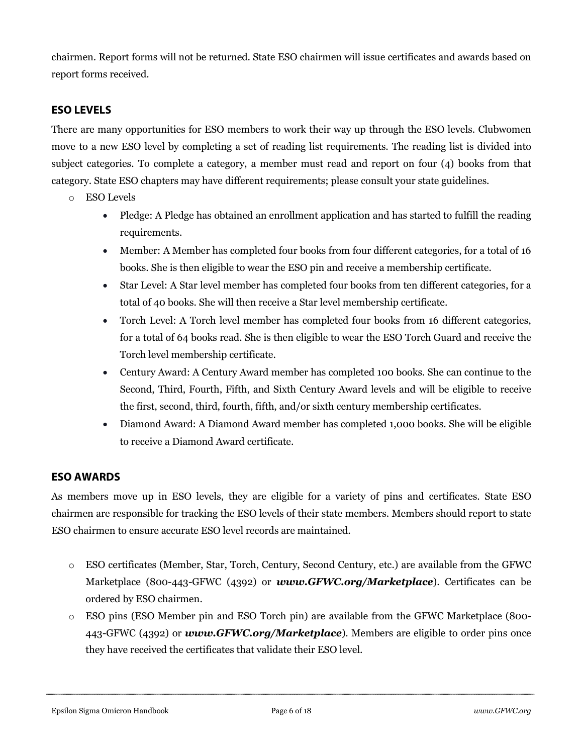chairmen. Report forms will not be returned. State ESO chairmen will issue certificates and awards based on report forms received.

# **ESO LEVELS**

There are many opportunities for ESO members to work their way up through the ESO levels. Clubwomen move to a new ESO level by completing a set of reading list requirements. The reading list is divided into subject categories. To complete a category, a member must read and report on four (4) books from that category. State ESO chapters may have different requirements; please consult your state guidelines.

- o ESO Levels
	- Pledge: A Pledge has obtained an enrollment application and has started to fulfill the reading requirements.
	- Member: A Member has completed four books from four different categories, for a total of 16 books. She is then eligible to wear the ESO pin and receive a membership certificate.
	- Star Level: A Star level member has completed four books from ten different categories, for a total of 40 books. She will then receive a Star level membership certificate.
	- Torch Level: A Torch level member has completed four books from 16 different categories, for a total of 64 books read. She is then eligible to wear the ESO Torch Guard and receive the Torch level membership certificate.
	- Century Award: A Century Award member has completed 100 books. She can continue to the Second, Third, Fourth, Fifth, and Sixth Century Award levels and will be eligible to receive the first, second, third, fourth, fifth, and/or sixth century membership certificates.
	- Diamond Award: A Diamond Award member has completed 1,000 books. She will be eligible to receive a Diamond Award certificate.

# **ESO AWARDS**

As members move up in ESO levels, they are eligible for a variety of pins and certificates. State ESO chairmen are responsible for tracking the ESO levels of their state members. Members should report to state ESO chairmen to ensure accurate ESO level records are maintained.

- o ESO certificates (Member, Star, Torch, Century, Second Century, etc.) are available from the GFWC Marketplace (800-443-GFWC (4392) or *www.GFWC.org/Marketplace*). Certificates can be ordered by ESO chairmen.
- o ESO pins (ESO Member pin and ESO Torch pin) are available from the GFWC Marketplace (800- 443-GFWC (4392) or *www.GFWC.org/Marketplace*). Members are eligible to order pins once they have received the certificates that validate their ESO level.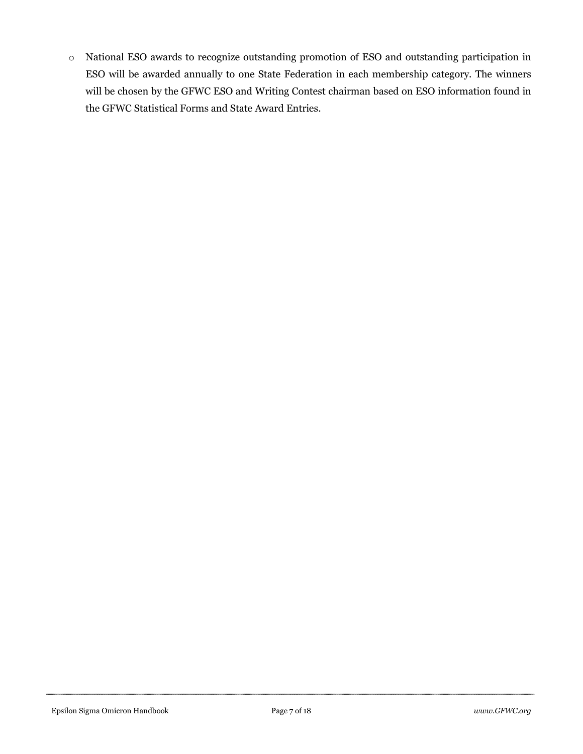o National ESO awards to recognize outstanding promotion of ESO and outstanding participation in ESO will be awarded annually to one State Federation in each membership category. The winners will be chosen by the GFWC ESO and Writing Contest chairman based on ESO information found in the GFWC Statistical Forms and State Award Entries.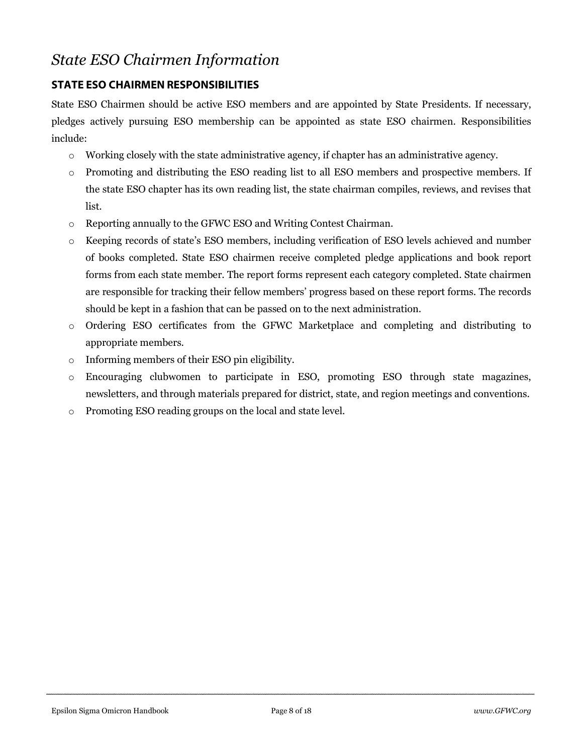# *State ESO Chairmen Information*

# **STATE ESO CHAIRMEN RESPONSIBILITIES**

State ESO Chairmen should be active ESO members and are appointed by State Presidents. If necessary, pledges actively pursuing ESO membership can be appointed as state ESO chairmen. Responsibilities include:

- o Working closely with the state administrative agency, if chapter has an administrative agency.
- o Promoting and distributing the ESO reading list to all ESO members and prospective members. If the state ESO chapter has its own reading list, the state chairman compiles, reviews, and revises that list.
- o Reporting annually to the GFWC ESO and Writing Contest Chairman.
- o Keeping records of state's ESO members, including verification of ESO levels achieved and number of books completed. State ESO chairmen receive completed pledge applications and book report forms from each state member. The report forms represent each category completed. State chairmen are responsible for tracking their fellow members' progress based on these report forms. The records should be kept in a fashion that can be passed on to the next administration.
- o Ordering ESO certificates from the GFWC Marketplace and completing and distributing to appropriate members.
- o Informing members of their ESO pin eligibility.
- o Encouraging clubwomen to participate in ESO, promoting ESO through state magazines, newsletters, and through materials prepared for district, state, and region meetings and conventions.
- o Promoting ESO reading groups on the local and state level.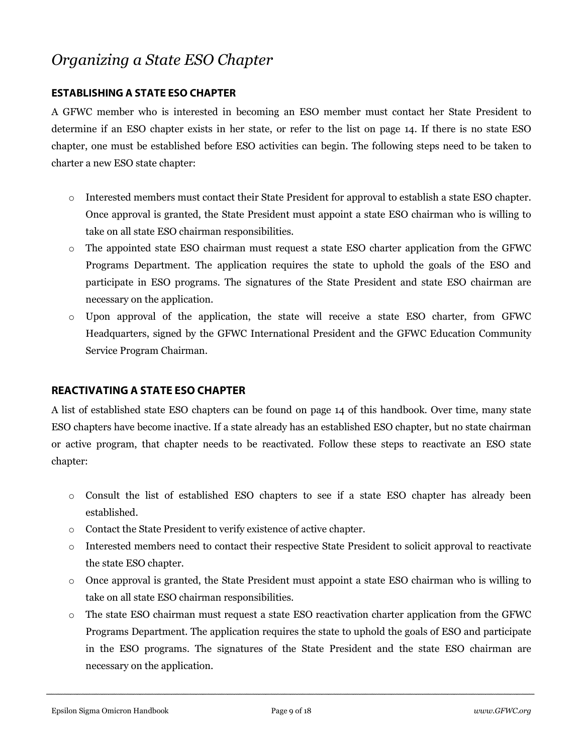# *Organizing a State ESO Chapter*

### **ESTABLISHING A STATE ESO CHAPTER**

A GFWC member who is interested in becoming an ESO member must contact her State President to determine if an ESO chapter exists in her state, or refer to the list on page 14. If there is no state ESO chapter, one must be established before ESO activities can begin. The following steps need to be taken to charter a new ESO state chapter:

- o Interested members must contact their State President for approval to establish a state ESO chapter. Once approval is granted, the State President must appoint a state ESO chairman who is willing to take on all state ESO chairman responsibilities.
- o The appointed state ESO chairman must request a state ESO charter application from the GFWC Programs Department. The application requires the state to uphold the goals of the ESO and participate in ESO programs. The signatures of the State President and state ESO chairman are necessary on the application.
- o Upon approval of the application, the state will receive a state ESO charter, from GFWC Headquarters, signed by the GFWC International President and the GFWC Education Community Service Program Chairman.

# **REACTIVATING A STATE ESO CHAPTER**

A list of established state ESO chapters can be found on page 14 of this handbook. Over time, many state ESO chapters have become inactive. If a state already has an established ESO chapter, but no state chairman or active program, that chapter needs to be reactivated. Follow these steps to reactivate an ESO state chapter:

- o Consult the list of established ESO chapters to see if a state ESO chapter has already been established.
- o Contact the State President to verify existence of active chapter.
- o Interested members need to contact their respective State President to solicit approval to reactivate the state ESO chapter.
- o Once approval is granted, the State President must appoint a state ESO chairman who is willing to take on all state ESO chairman responsibilities.
- o The state ESO chairman must request a state ESO reactivation charter application from the GFWC Programs Department. The application requires the state to uphold the goals of ESO and participate in the ESO programs. The signatures of the State President and the state ESO chairman are necessary on the application.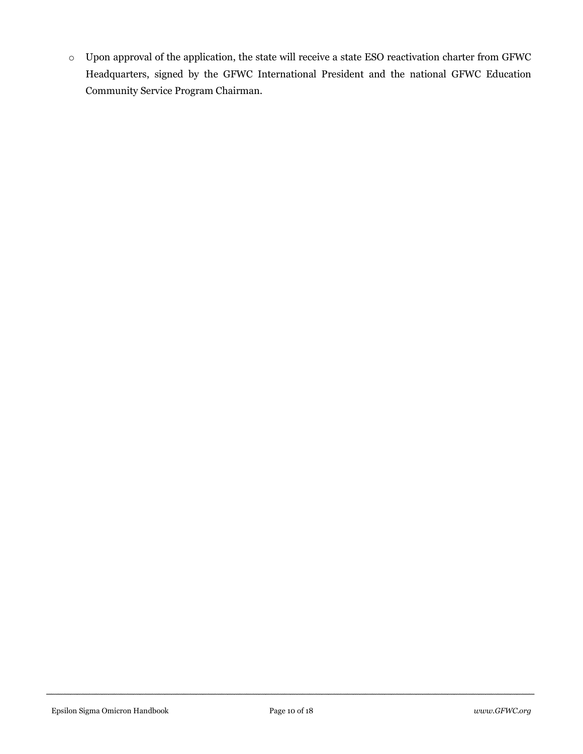o Upon approval of the application, the state will receive a state ESO reactivation charter from GFWC Headquarters, signed by the GFWC International President and the national GFWC Education Community Service Program Chairman.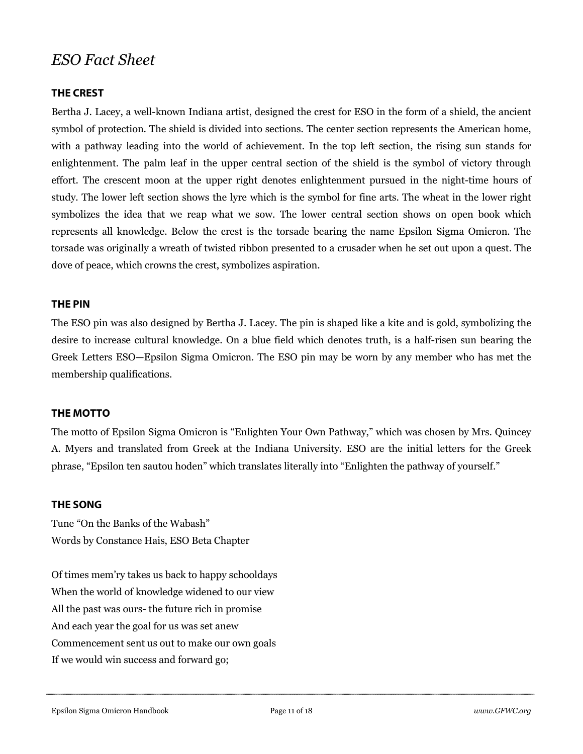# *ESO Fact Sheet*

#### **THE CREST**

Bertha J. Lacey, a well-known Indiana artist, designed the crest for ESO in the form of a shield, the ancient symbol of protection. The shield is divided into sections. The center section represents the American home, with a pathway leading into the world of achievement. In the top left section, the rising sun stands for enlightenment. The palm leaf in the upper central section of the shield is the symbol of victory through effort. The crescent moon at the upper right denotes enlightenment pursued in the night-time hours of study. The lower left section shows the lyre which is the symbol for fine arts. The wheat in the lower right symbolizes the idea that we reap what we sow. The lower central section shows on open book which represents all knowledge. Below the crest is the torsade bearing the name Epsilon Sigma Omicron. The torsade was originally a wreath of twisted ribbon presented to a crusader when he set out upon a quest. The dove of peace, which crowns the crest, symbolizes aspiration.

#### **THE PIN**

The ESO pin was also designed by Bertha J. Lacey. The pin is shaped like a kite and is gold, symbolizing the desire to increase cultural knowledge. On a blue field which denotes truth, is a half-risen sun bearing the Greek Letters ESO—Epsilon Sigma Omicron. The ESO pin may be worn by any member who has met the membership qualifications.

#### **THE MOTTO**

The motto of Epsilon Sigma Omicron is "Enlighten Your Own Pathway," which was chosen by Mrs. Quincey A. Myers and translated from Greek at the Indiana University. ESO are the initial letters for the Greek phrase, "Epsilon ten sautou hoden" which translates literally into "Enlighten the pathway of yourself."

#### **THE SONG**

Tune "On the Banks of the Wabash" Words by Constance Hais, ESO Beta Chapter

Of times mem'ry takes us back to happy schooldays When the world of knowledge widened to our view All the past was ours- the future rich in promise And each year the goal for us was set anew Commencement sent us out to make our own goals If we would win success and forward go;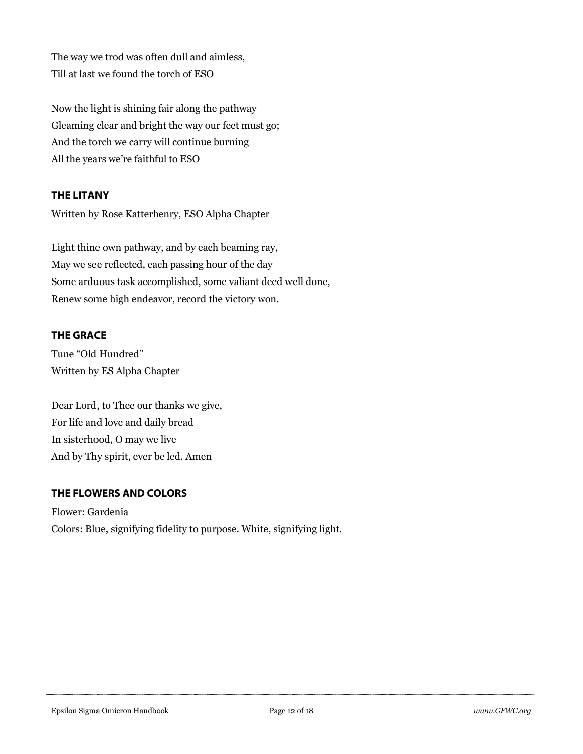The way we trod was often dull and aimless, Till at last we found the torch of ESO

Now the light is shining fair along the pathway Gleaming clear and bright the way our feet must go; And the torch we carry will continue burning All the years we're faithful to ESO

## **THE LITANY**

Written by Rose Katterhenry, ESO Alpha Chapter

Light thine own pathway, and by each beaming ray, May we see reflected, each passing hour of the day Some arduous task accomplished, some valiant deed well done, Renew some high endeavor, record the victory won.

## **THE GRACE**

Tune "Old Hundred" Written by ES Alpha Chapter

Dear Lord, to Thee our thanks we give, For life and love and daily bread In sisterhood, O may we live And by Thy spirit, ever be led. Amen

## **THE FLOWERS AND COLORS**

Flower: Gardenia Colors: Blue, signifying fidelity to purpose. White, signifying light.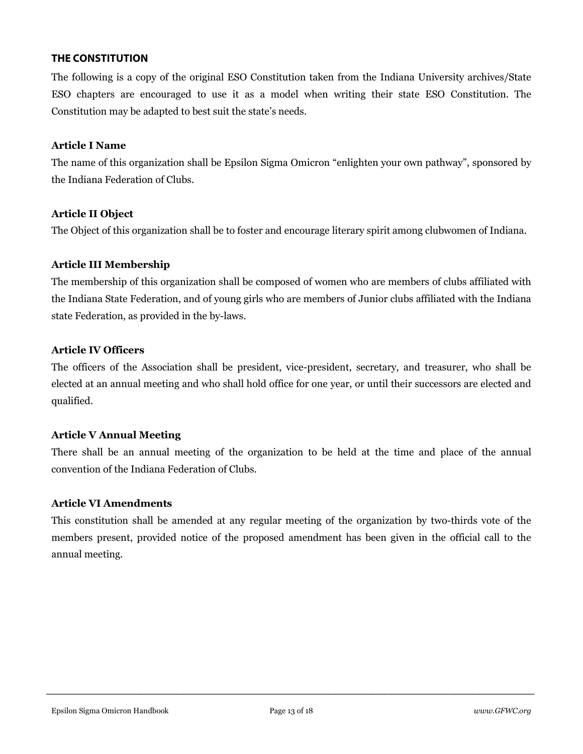#### **THE CONSTITUTION**

The following is a copy of the original ESO Constitution taken from the Indiana University archives/State ESO chapters are encouraged to use it as a model when writing their state ESO Constitution. The Constitution may be adapted to best suit the state's needs.

#### **Article I Name**

The name of this organization shall be Epsilon Sigma Omicron "enlighten your own pathway", sponsored by the Indiana Federation of Clubs.

#### **Article II Object**

The Object of this organization shall be to foster and encourage literary spirit among clubwomen of Indiana.

#### **Article III Membership**

The membership of this organization shall be composed of women who are members of clubs affiliated with the Indiana State Federation, and of young girls who are members of Junior clubs affiliated with the Indiana state Federation, as provided in the by-laws.

#### **Article IV Officers**

The officers of the Association shall be president, vice-president, secretary, and treasurer, who shall be elected at an annual meeting and who shall hold office for one year, or until their successors are elected and qualified.

#### **Article V Annual Meeting**

There shall be an annual meeting of the organization to be held at the time and place of the annual convention of the Indiana Federation of Clubs.

#### **Article VI Amendments**

This constitution shall be amended at any regular meeting of the organization by two-thirds vote of the members present, provided notice of the proposed amendment has been given in the official call to the annual meeting.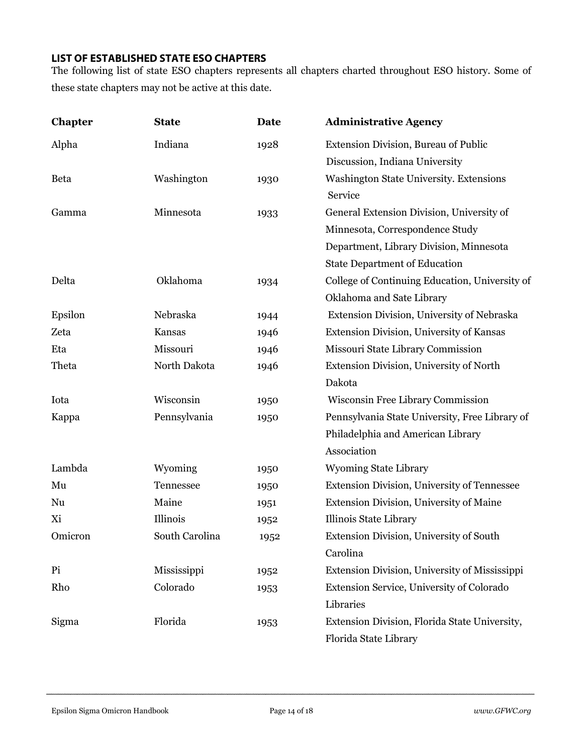### **LIST OF ESTABLISHED STATE ESO CHAPTERS**

The following list of state ESO chapters represents all chapters charted throughout ESO history. Some of these state chapters may not be active at this date.

| <b>Chapter</b> | <b>State</b>   | <b>Date</b> | <b>Administrative Agency</b>                   |
|----------------|----------------|-------------|------------------------------------------------|
| Alpha          | Indiana        | 1928        | Extension Division, Bureau of Public           |
|                |                |             | Discussion, Indiana University                 |
| <b>Beta</b>    | Washington     | 1930        | Washington State University. Extensions        |
|                |                |             | Service                                        |
| Gamma          | Minnesota      | 1933        | General Extension Division, University of      |
|                |                |             | Minnesota, Correspondence Study                |
|                |                |             | Department, Library Division, Minnesota        |
|                |                |             | <b>State Department of Education</b>           |
| Delta          | Oklahoma       | 1934        | College of Continuing Education, University of |
|                |                |             | Oklahoma and Sate Library                      |
| Epsilon        | Nebraska       | 1944        | Extension Division, University of Nebraska     |
| Zeta           | Kansas         | 1946        | Extension Division, University of Kansas       |
| Eta            | Missouri       | 1946        | Missouri State Library Commission              |
| Theta          | North Dakota   | 1946        | Extension Division, University of North        |
|                |                |             | Dakota                                         |
| Iota           | Wisconsin      | 1950        | Wisconsin Free Library Commission              |
| Kappa          | Pennsylvania   | 1950        | Pennsylvania State University, Free Library of |
|                |                |             | Philadelphia and American Library              |
|                |                |             | Association                                    |
| Lambda         | Wyoming        | 1950        | <b>Wyoming State Library</b>                   |
| Mu             | Tennessee      | 1950        | Extension Division, University of Tennessee    |
| Nu             | Maine          | 1951        | Extension Division, University of Maine        |
| Xi             | Illinois       | 1952        | Illinois State Library                         |
| Omicron        | South Carolina | 1952        | Extension Division, University of South        |
|                |                |             | Carolina                                       |
| Pi             | Mississippi    | 1952        | Extension Division, University of Mississippi  |
| Rho            | Colorado       | 1953        | Extension Service, University of Colorado      |
|                |                |             | Libraries                                      |
| Sigma          | Florida        | 1953        | Extension Division, Florida State University,  |
|                |                |             | Florida State Library                          |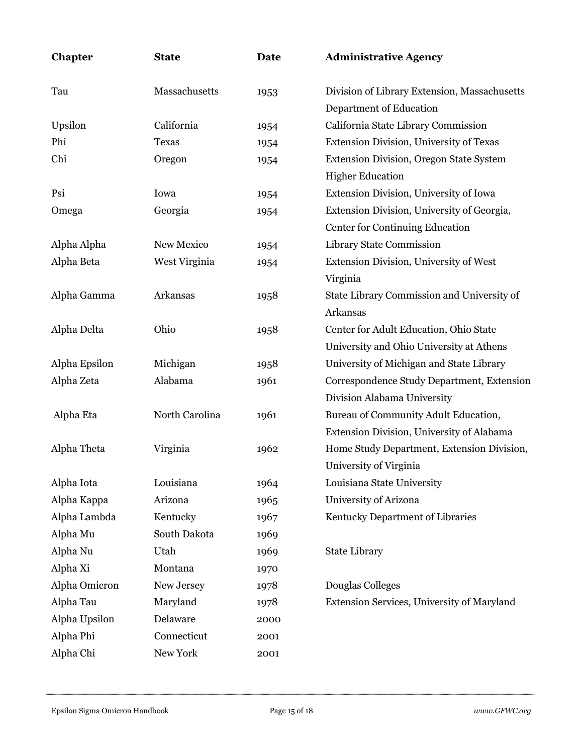| Chapter       | <b>State</b>   | <b>Date</b> | <b>Administrative Agency</b>                   |
|---------------|----------------|-------------|------------------------------------------------|
| Tau           | Massachusetts  | 1953        | Division of Library Extension, Massachusetts   |
|               |                |             | Department of Education                        |
| Upsilon       | California     | 1954        | California State Library Commission            |
| Phi           | <b>Texas</b>   | 1954        | Extension Division, University of Texas        |
| Chi           | Oregon         | 1954        | <b>Extension Division, Oregon State System</b> |
|               |                |             | <b>Higher Education</b>                        |
| Psi           | Iowa           | 1954        | Extension Division, University of Iowa         |
| Omega         | Georgia        | 1954        | Extension Division, University of Georgia,     |
|               |                |             | Center for Continuing Education                |
| Alpha Alpha   | New Mexico     | 1954        | Library State Commission                       |
| Alpha Beta    | West Virginia  | 1954        | Extension Division, University of West         |
|               |                |             | Virginia                                       |
| Alpha Gamma   | Arkansas       | 1958        | State Library Commission and University of     |
|               |                |             | Arkansas                                       |
| Alpha Delta   | Ohio           | 1958        | Center for Adult Education, Ohio State         |
|               |                |             | University and Ohio University at Athens       |
| Alpha Epsilon | Michigan       | 1958        | University of Michigan and State Library       |
| Alpha Zeta    | Alabama        | 1961        | Correspondence Study Department, Extension     |
|               |                |             | Division Alabama University                    |
| Alpha Eta     | North Carolina | 1961        | Bureau of Community Adult Education,           |
|               |                |             | Extension Division, University of Alabama      |
| Alpha Theta   | Virginia       | 1962        | Home Study Department, Extension Division,     |
|               |                |             | University of Virginia                         |
| Alpha Iota    | Louisiana      | 1964        | Louisiana State University                     |
| Alpha Kappa   | Arizona        | 1965        | University of Arizona                          |
| Alpha Lambda  | Kentucky       | 1967        | Kentucky Department of Libraries               |
| Alpha Mu      | South Dakota   | 1969        |                                                |
| Alpha Nu      | Utah           | 1969        | <b>State Library</b>                           |
| Alpha Xi      | Montana        | 1970        |                                                |
| Alpha Omicron | New Jersey     | 1978        | Douglas Colleges                               |
| Alpha Tau     | Maryland       | 1978        | Extension Services, University of Maryland     |
| Alpha Upsilon | Delaware       | 2000        |                                                |
| Alpha Phi     | Connecticut    | 2001        |                                                |
| Alpha Chi     | New York       | 2001        |                                                |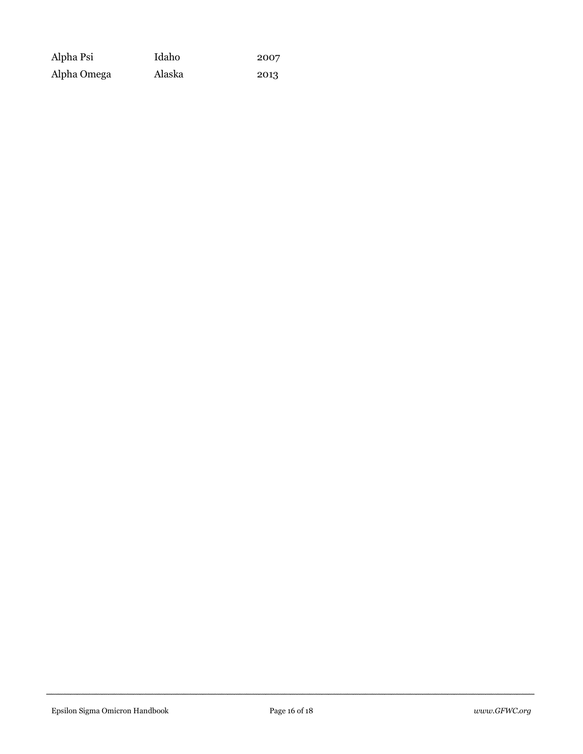| Alpha Psi   | Idaho  | 2007 |
|-------------|--------|------|
| Alpha Omega | Alaska | 2013 |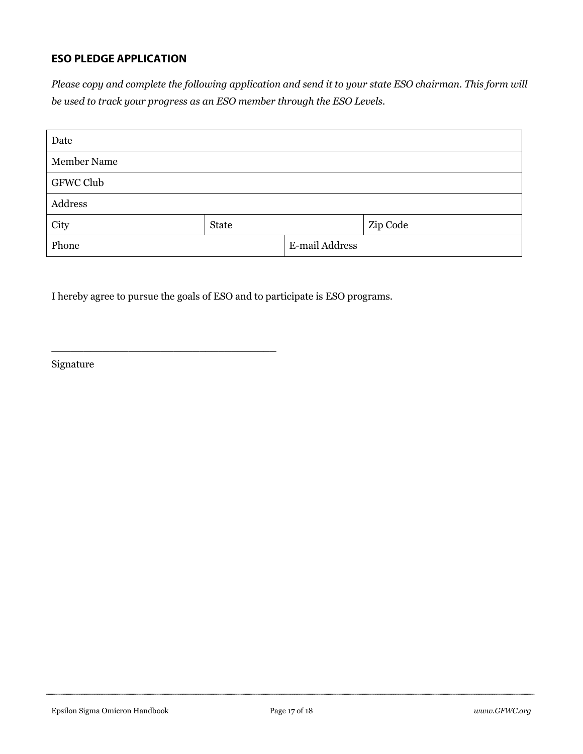## **ESO PLEDGE APPLICATION**

*Please copy and complete the following application and send it to your state ESO chairman. This form will be used to track your progress as an ESO member through the ESO Levels.*

| Date        |       |                |          |
|-------------|-------|----------------|----------|
| Member Name |       |                |          |
| GFWC Club   |       |                |          |
| Address     |       |                |          |
| City        | State |                | Zip Code |
| Phone       |       | E-mail Address |          |

I hereby agree to pursue the goals of ESO and to participate is ESO programs.

\_\_\_\_\_\_\_\_\_\_\_\_\_\_\_\_\_\_\_\_\_\_\_\_\_\_\_\_\_\_\_\_\_\_\_

Signature